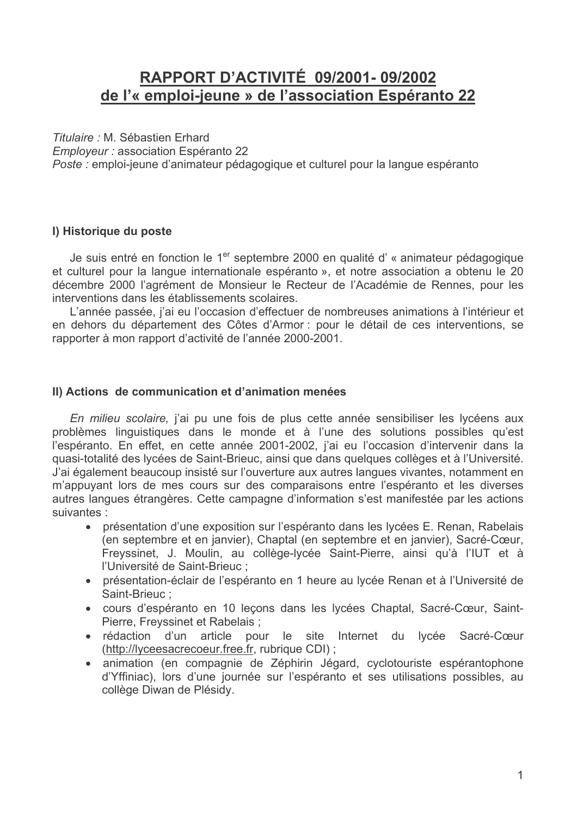# RAPPORT D'ACTIVITÉ 09/2001-09/2002 de l'« emploi-jeune » de l'association Espéranto 22

Titulaire : M. Sébastien Erhard

Employeur : association Espéranto 22

Poste : emploi-jeune d'animateur pédagogique et culturel pour la langue espéranto

## I) Historique du poste

Je suis entré en fonction le 1<sup>er</sup> septembre 2000 en qualité d'« animateur pédagogique et culturel pour la langue internationale espéranto », et notre association a obtenu le 20 décembre 2000 l'agrément de Monsieur le Recteur de l'Académie de Rennes, pour les interventions dans les établissements scolaires.

L'année passée, j'ai eu l'occasion d'effectuer de nombreuses animations à l'intérieur et en dehors du département des Côtes d'Armor : pour le détail de ces interventions, se rapporter à mon rapport d'activité de l'année 2000-2001.

## II) Actions de communication et d'animation menées

En milieu scolaire, j'ai pu une fois de plus cette année sensibiliser les lycéens aux problèmes linguistiques dans le monde et à l'une des solutions possibles qu'est l'espéranto. En effet, en cette année 2001-2002, j'ai eu l'occasion d'intervenir dans la quasi-totalité des lycées de Saint-Brieuc, ainsi que dans quelques collèges et à l'Université. J'ai également beaucoup insisté sur l'ouverture aux autres langues vivantes, notamment en m'appuyant lors de mes cours sur des comparaisons entre l'espéranto et les diverses autres langues étrangères. Cette campagne d'information s'est manifestée par les actions suivantes :

- présentation d'une exposition sur l'espéranto dans les lycées E. Renan, Rabelais (en septembre et en janvier), Chaptal (en septembre et en janvier), Sacré-Cœur. Freyssinet, J. Moulin, au collège-lycée Saint-Pierre, ainsi qu'à l'IUT et à l'Université de Saint-Brieuc ;
- présentation-éclair de l'espéranto en 1 heure au lycée Renan et à l'Université de Saint-Brieuc:
- · cours d'espéranto en 10 leçons dans les lycées Chaptal, Sacré-Cœur, Saint-Pierre, Freyssinet et Rabelais ;
- · rédaction d'un article pour le site Internet du lycée Sacré-Cœur (http://lyceesacrecoeur.free.fr, rubrique CDI) ;
- · animation (en compagnie de Zéphirin Jégard, cyclotouriste espérantophone d'Yffiniac), lors d'une journée sur l'espéranto et ses utilisations possibles, au collège Diwan de Plésidy.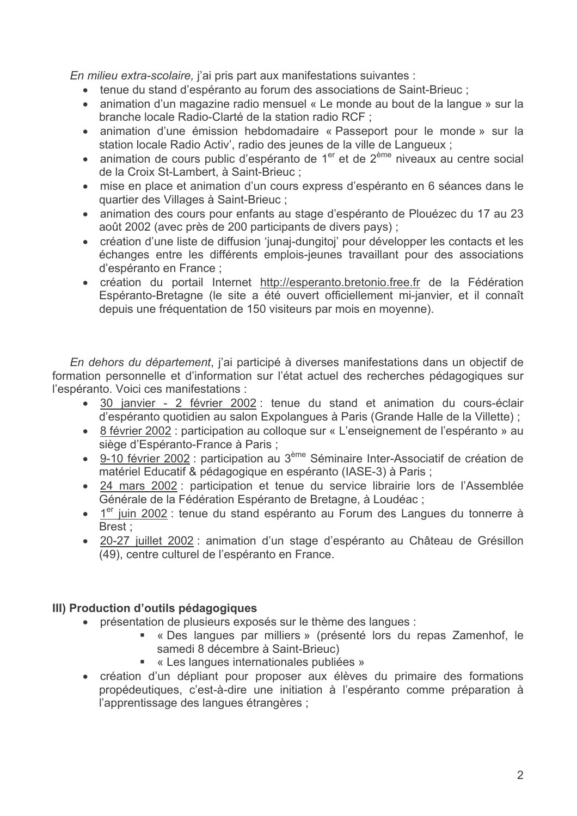En milieu extra-scolaire, j'ai pris part aux manifestations suivantes :

- tenue du stand d'espéranto au forum des associations de Saint-Brieuc;
- animation d'un magazine radio mensuel « Le monde au bout de la langue » sur la branche locale Radio-Clarté de la station radio RCF ;
- animation d'une émission hebdomadaire « Passeport pour le monde » sur la station locale Radio Activ', radio des jeunes de la ville de Langueux ;
- animation de cours public d'espéranto de 1<sup>er</sup> et de 2<sup>ème</sup> niveaux au centre social de la Croix St-Lambert, à Saint-Brieuc ;
- · mise en place et animation d'un cours express d'espéranto en 6 séances dans le quartier des Villages à Saint-Brieuc ;
- · animation des cours pour enfants au stage d'espéranto de Plouézec du 17 au 23 août 2002 (avec près de 200 participants de divers pays);
- création d'une liste de diffusion 'junaj-dungitoj' pour développer les contacts et les échanges entre les différents emplois-jeunes travaillant pour des associations d'espéranto en France ;
- création du portail Internet http://esperanto.bretonio.free.fr de la Fédération Espéranto-Bretagne (le site a été ouvert officiellement mi-janvier, et il connaît depuis une fréquentation de 150 visiteurs par mois en moyenne).

En dehors du département, j'ai participé à diverses manifestations dans un objectif de formation personnelle et d'information sur l'état actuel des recherches pédagogiques sur l'espéranto. Voici ces manifestations :

- · 30 janvier 2 février 2002 : tenue du stand et animation du cours-éclair d'espéranto quotidien au salon Expolangues à Paris (Grande Halle de la Villette);
- 8 février 2002 : participation au colloque sur « L'enseignement de l'espéranto » au siège d'Espéranto-France à Paris ;
- 9-10 février 2002 : participation au 3<sup>ème</sup> Séminaire Inter-Associatif de création de matériel Educatif & pédagogique en espéranto (IASE-3) à Paris ;
- 24 mars 2002 : participation et tenue du service librairie lors de l'Assemblée Générale de la Fédération Espéranto de Bretagne, à Loudéac ;
- 1<sup>er</sup> juin 2002 : tenue du stand espéranto au Forum des Langues du tonnerre à Brest:
- · 20-27 juillet 2002 : animation d'un stage d'espéranto au Château de Grésillon (49), centre culturel de l'espéranto en France.

# III) Production d'outils pédagogiques

- présentation de plusieurs exposés sur le thème des langues :
	- « Des langues par milliers » (présenté lors du repas Zamenhof, le samedi 8 décembre à Saint-Brieuc)
	- « Les langues internationales publiées »
- création d'un dépliant pour proposer aux élèves du primaire des formations propédeutiques, c'est-à-dire une initiation à l'espéranto comme préparation à l'apprentissage des langues étrangères ;